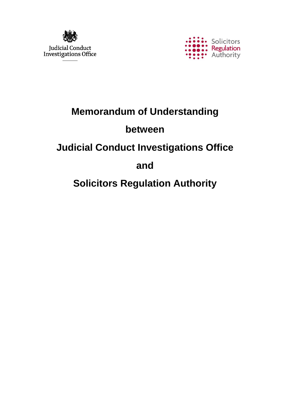



# **Memorandum of Understanding**

## **between**

## **Judicial Conduct Investigations Office**

## **and**

# **Solicitors Regulation Authority**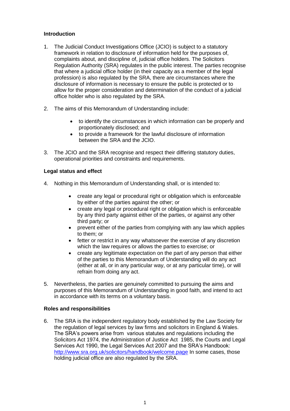## **Introduction**

- 1. The Judicial Conduct Investigations Office (JCIO) is subject to a statutory framework in relation to disclosure of information held for the purposes of, complaints about, and discipline of, judicial office holders. The Solicitors Regulation Authority (SRA) regulates in the public interest. The parties recognise that where a judicial office holder (in their capacity as a member of the legal profession) is also regulated by the SRA, there are circumstances where the disclosure of information is necessary to ensure the public is protected or to allow for the proper consideration and determination of the conduct of a judicial office holder who is also regulated by the SRA.
- 2. The aims of this Memorandum of Understanding include:
	- to identify the circumstances in which information can be properly and proportionately disclosed; and
	- to provide a framework for the lawful disclosure of information between the SRA and the JCIO.
- 3. The JCIO and the SRA recognise and respect their differing statutory duties, operational priorities and constraints and requirements.

## **Legal status and effect**

- 4. Nothing in this Memorandum of Understanding shall, or is intended to:
	- create any legal or procedural right or obligation which is enforceable by either of the parties against the other; or
	- create any legal or procedural right or obligation which is enforceable by any third party against either of the parties, or against any other third party; or
	- prevent either of the parties from complying with any law which applies to them; or
	- fetter or restrict in any way whatsoever the exercise of any discretion which the law requires or allows the parties to exercise; or
	- create any legitimate expectation on the part of any person that either of the parties to this Memorandum of Understanding will do any act (either at all, or in any particular way, or at any particular time), or will refrain from doing any act.
- 5. Nevertheless, the parties are genuinely committed to pursuing the aims and purposes of this Memorandum of Understanding in good faith, and intend to act in accordance with its terms on a voluntary basis.

## **Roles and responsibilities**

6. The SRA is the independent regulatory body established by the Law Society for the regulation of legal services by law firms and solicitors in England & Wales. The SRA's powers arise from various statutes and regulations including the Solicitors Act 1974, the Administration of Justice Act 1985, the Courts and Legal Services Act 1990, the Legal Services Act 2007 and the SRA's Handbook: <http://www.sra.org.uk/solicitors/handbook/welcome.page> In some cases, those holding judicial office are also regulated by the SRA.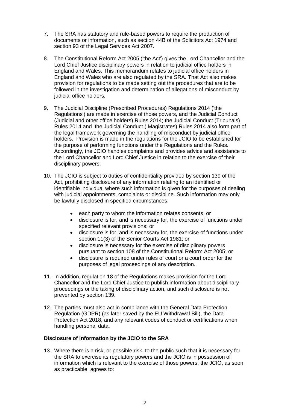- 7. The SRA has statutory and rule-based powers to require the production of documents or information, such as section 44B of the Solicitors Act 1974 and section 93 of the Legal Services Act 2007.
- 8. The Constitutional Reform Act 2005 ('the Act') gives the Lord Chancellor and the Lord Chief Justice disciplinary powers in relation to judicial office holders in England and Wales. This memorandum relates to judicial office holders in England and Wales who are also regulated by the SRA. That Act also makes provision for regulations to be made setting out the procedures that are to be followed in the investigation and determination of allegations of misconduct by judicial office holders.
- 9. The Judicial Discipline (Prescribed Procedures) Regulations 2014 ('the Regulations') are made in exercise of those powers, and the Judicial Conduct (Judicial and other office holders) Rules 2014; the Judicial Conduct (Tribunals) Rules 2014 and the Judicial Conduct ( Magistrates) Rules 2014 also form part of the legal framework governing the handling of misconduct by judicial office holders. Provision is made in the regulations for the JCIO to be established for the purpose of performing functions under the Regulations and the Rules. Accordingly, the JCIO handles complaints and provides advice and assistance to the Lord Chancellor and Lord Chief Justice in relation to the exercise of their disciplinary powers.
- 10. The JCIO is subject to duties of confidentiality provided by section 139 of the Act, prohibiting disclosure of any information relating to an identified or identifiable individual where such information is given for the purposes of dealing with judicial appointments, complaints or discipline. Such information may only be lawfully disclosed in specified circumstances:
	- each party to whom the information relates consents; or
	- disclosure is for, and is necessary for, the exercise of functions under specified relevant provisions; or
	- disclosure is for, and is necessary for, the exercise of functions under section 11(3) of the Senior Courts Act 1981; or
	- disclosure is necessary for the exercise of disciplinary powers pursuant to section 108 of the Constitutional Reform Act 2005; or
	- disclosure is required under rules of court or a court order for the purposes of legal proceedings of any description.
- 11. In addition, regulation 18 of the Regulations makes provision for the Lord Chancellor and the Lord Chief Justice to publish information about disciplinary proceedings or the taking of disciplinary action, and such disclosure is not prevented by section 139.
- 12. The parties must also act in compliance with the General Data Protection Regulation (GDPR) (as later saved by the EU Withdrawal Bill), the Data Protection Act 2018, and any relevant codes of conduct or certifications when handling personal data.

## **Disclosure of information by the JCIO to the SRA**

13. Where there is a risk, or possible risk, to the public such that it is necessary for the SRA to exercise its regulatory powers and the JCIO is in possession of information which is relevant to the exercise of those powers, the JCIO, as soon as practicable, agrees to: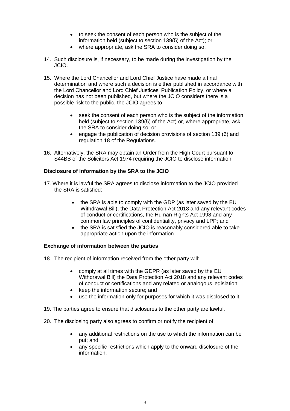- to seek the consent of each person who is the subject of the information held (subject to section 139(5) of the Act); or
- where appropriate, ask the SRA to consider doing so.
- 14. Such disclosure is, if necessary, to be made during the investigation by the JCIO.
- 15. Where the Lord Chancellor and Lord Chief Justice have made a final determination and where such a decision is either published in accordance with the Lord Chancellor and Lord Chief Justices' Publication Policy, or where a decision has not been published, but where the JCIO considers there is a possible risk to the public, the JCIO agrees to
	- seek the consent of each person who is the subject of the information held (subject to section 139(5) of the Act) or, where appropriate, ask the SRA to consider doing so; or
	- engage the publication of decision provisions of section 139 (6) and regulation 18 of the Regulations.
- 16. Alternatively, the SRA may obtain an Order from the High Court pursuant to S44BB of the Solicitors Act 1974 requiring the JCIO to disclose information.

## **Disclosure of information by the SRA to the JCIO**

- 17. Where it is lawful the SRA agrees to disclose information to the JCIO provided the SRA is satisfied:
	- the SRA is able to comply with the GDP (as later saved by the EU Withdrawal Bill), the Data Protection Act 2018 and any relevant codes of conduct or certifications, the Human Rights Act 1998 and any common law principles of confidentiality, privacy and LPP; and
	- the SRA is satisfied the JCIO is reasonably considered able to take appropriate action upon the information.

## **Exchange of information between the parties**

- 18. The recipient of information received from the other party will:
	- comply at all times with the GDPR (as later saved by the EU Withdrawal Bill) the Data Protection Act 2018 and any relevant codes of conduct or certifications and any related or analogous legislation;
	- keep the information secure; and
	- use the information only for purposes for which it was disclosed to it.
- 19. The parties agree to ensure that disclosures to the other party are lawful.
- 20. The disclosing party also agrees to confirm or notify the recipient of:
	- any additional restrictions on the use to which the information can be put; and
	- any specific restrictions which apply to the onward disclosure of the information.